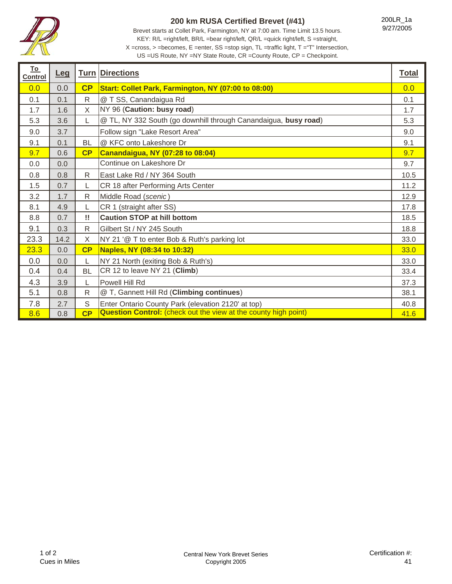

## **200 km RUSA Certified Brevet (#41)**

Brevet starts at Collet Park, Farmington, NY at 7:00 am. Time Limit 13.5 hours. KEY: R/L =right/left, BR/L =bear right/left, QR/L =quick right/left, S =straight, X =cross, > =becomes, E =enter, SS =stop sign, TL =traffic light, T ="T" Intersection, 200LR\_1a 9/27/2005

US =US Route, NY =NY State Route, CR =County Route, CP = Checkpoint.

| <u>To</u><br>Control | <u>Leg</u> |              | <b>Turn Directions</b>                                                 | <b>Total</b> |
|----------------------|------------|--------------|------------------------------------------------------------------------|--------------|
| 0.0                  | 0.0        | CP           | Start: Collet Park, Farmington, NY (07:00 to 08:00)                    | 0.0          |
| 0.1                  | 0.1        | $\mathsf{R}$ | @ T SS, Canandaigua Rd                                                 | 0.1          |
| 1.7                  | 1.6        | X            | NY 96 (Caution: busy road)                                             | 1.7          |
| 5.3                  | 3.6        | L            | @ TL, NY 332 South (go downhill through Canandaigua, busy road)        | 5.3          |
| 9.0                  | 3.7        |              | Follow sign "Lake Resort Area"                                         | 9.0          |
| 9.1                  | 0.1        | <b>BL</b>    | @ KFC onto Lakeshore Dr                                                | 9.1          |
| 9.7                  | 0.6        | CP           | <b>Canandaigua, NY (07:28 to 08:04)</b>                                | 9.7          |
| 0.0                  | 0.0        |              | Continue on Lakeshore Dr                                               | 9.7          |
| 0.8                  | 0.8        | R            | East Lake Rd / NY 364 South                                            | 10.5         |
| 1.5                  | 0.7        |              | CR 18 after Performing Arts Center                                     | 11.2         |
| 3.2                  | 1.7        | R            | Middle Road (scenic)                                                   | 12.9         |
| 8.1                  | 4.9        | L            | CR 1 (straight after SS)                                               | 17.8         |
| 8.8                  | 0.7        | !!           | <b>Caution STOP at hill bottom</b>                                     | 18.5         |
| 9.1                  | 0.3        | $\mathsf{R}$ | Gilbert St / NY 245 South                                              | 18.8         |
| 23.3                 | 14.2       | X            | NY 21 '@ T to enter Bob & Ruth's parking lot                           | 33.0         |
| 23.3                 | 0.0        | CP           | Naples, NY (08:34 to 10:32)                                            | 33.0         |
| 0.0                  | 0.0        | L            | NY 21 North (exiting Bob & Ruth's)                                     | 33.0         |
| 0.4                  | 0.4        | <b>BL</b>    | CR 12 to leave NY 21 (Climb)                                           | 33.4         |
| 4.3                  | 3.9        | L            | Powell Hill Rd                                                         | 37.3         |
| 5.1                  | 0.8        | $\mathsf{R}$ | @ T, Gannett Hill Rd (Climbing continues)                              | 38.1         |
| 7.8                  | 2.7        | S            | Enter Ontario County Park (elevation 2120' at top)                     | 40.8         |
| 8.6                  | 0.8        | CP           | <b>Question Control:</b> (check out the view at the county high point) | 41.6         |